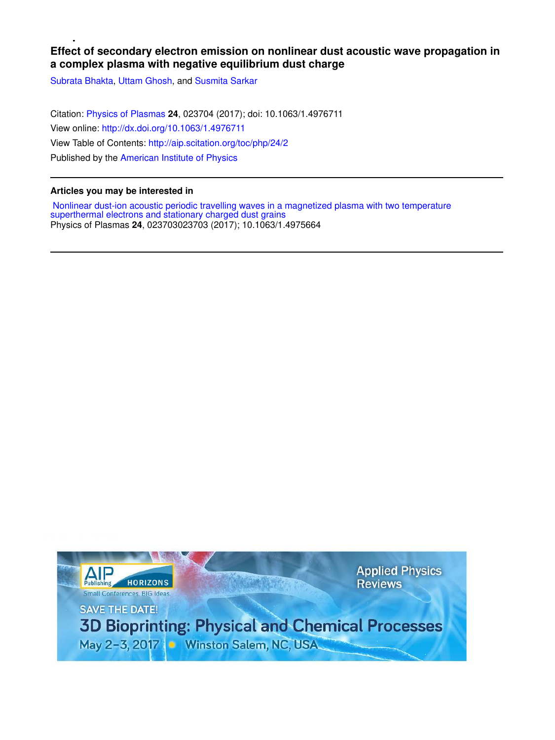# **Effect of secondary electron emission on nonlinear dust acoustic wave propagation in a complex plasma with negative equilibrium dust charge**

Subrata Bhakta, Uttam Ghosh, and Susmita Sarkar

Citation: Physics of Plasmas **24**, 023704 (2017); doi: 10.1063/1.4976711 View online: http://dx.doi.org/10.1063/1.4976711 View Table of Contents: http://aip.scitation.org/toc/php/24/2 Published by the American Institute of Physics

# **Articles you may be interested in**

 Nonlinear dust-ion acoustic periodic travelling waves in a magnetized plasma with two temperature superthermal electrons and stationary charged dust grains Physics of Plasmas **24**, 023703023703 (2017); 10.1063/1.4975664

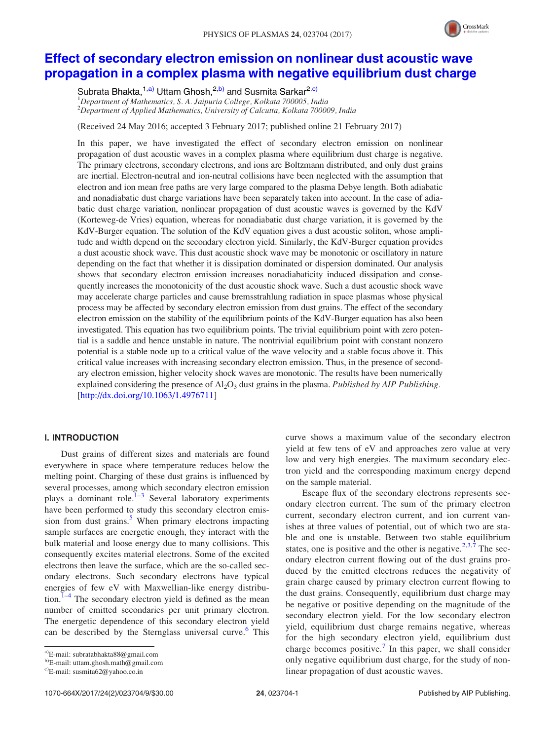

# Effect of secondary electron emission on nonlinear dust acoustic wave propagation in a complex plasma with negative equilibrium dust charge

Subrata Bhakta,<sup>1,a)</sup> Uttam Ghosh,<sup>2,b)</sup> and Susmita Sarkar<sup>2,c)</sup> <sup>1</sup>Department of Mathematics, S. A. Jaipuria College, Kolkata 700005, India  $2$ Department of Applied Mathematics, University of Calcutta, Kolkata 700009, India

(Received 24 May 2016; accepted 3 February 2017; published online 21 February 2017)

In this paper, we have investigated the effect of secondary electron emission on nonlinear propagation of dust acoustic waves in a complex plasma where equilibrium dust charge is negative. The primary electrons, secondary electrons, and ions are Boltzmann distributed, and only dust grains are inertial. Electron-neutral and ion-neutral collisions have been neglected with the assumption that electron and ion mean free paths are very large compared to the plasma Debye length. Both adiabatic and nonadiabatic dust charge variations have been separately taken into account. In the case of adiabatic dust charge variation, nonlinear propagation of dust acoustic waves is governed by the KdV (Korteweg-de Vries) equation, whereas for nonadiabatic dust charge variation, it is governed by the KdV-Burger equation. The solution of the KdV equation gives a dust acoustic soliton, whose amplitude and width depend on the secondary electron yield. Similarly, the KdV-Burger equation provides a dust acoustic shock wave. This dust acoustic shock wave may be monotonic or oscillatory in nature depending on the fact that whether it is dissipation dominated or dispersion dominated. Our analysis shows that secondary electron emission increases nonadiabaticity induced dissipation and consequently increases the monotonicity of the dust acoustic shock wave. Such a dust acoustic shock wave may accelerate charge particles and cause bremsstrahlung radiation in space plasmas whose physical process may be affected by secondary electron emission from dust grains. The effect of the secondary electron emission on the stability of the equilibrium points of the KdV-Burger equation has also been investigated. This equation has two equilibrium points. The trivial equilibrium point with zero potential is a saddle and hence unstable in nature. The nontrivial equilibrium point with constant nonzero potential is a stable node up to a critical value of the wave velocity and a stable focus above it. This critical value increases with increasing secondary electron emission. Thus, in the presence of secondary electron emission, higher velocity shock waves are monotonic. The results have been numerically explained considering the presence of  $A I_2 O_3$  dust grains in the plasma. Published by AIP Publishing. [http://dx.doi.org/10.1063/1.4976711]

# I. INTRODUCTION

Dust grains of different sizes and materials are found everywhere in space where temperature reduces below the melting point. Charging of these dust grains is influenced by several processes, among which secondary electron emission plays a dominant role.<sup>1-3</sup> Several laboratory experiments have been performed to study this secondary electron emission from dust grains.<sup>5</sup> When primary electrons impacting sample surfaces are energetic enough, they interact with the bulk material and loose energy due to many collisions. This consequently excites material electrons. Some of the excited electrons then leave the surface, which are the so-called secondary electrons. Such secondary electrons have typical energies of few eV with Maxwellian-like energy distribution. $1-4$  The secondary electron yield is defined as the mean number of emitted secondaries per unit primary electron. The energetic dependence of this secondary electron yield can be described by the Sternglass universal curve.<sup>6</sup> This

b)E-mail: uttam.ghosh.math@gmail.com

c)E-mail: susmita62@yahoo.co.in

curve shows a maximum value of the secondary electron yield at few tens of eV and approaches zero value at very low and very high energies. The maximum secondary electron yield and the corresponding maximum energy depend on the sample material.

Escape flux of the secondary electrons represents secondary electron current. The sum of the primary electron current, secondary electron current, and ion current vanishes at three values of potential, out of which two are stable and one is unstable. Between two stable equilibrium states, one is positive and the other is negative.<sup>2,3,7</sup> The secondary electron current flowing out of the dust grains produced by the emitted electrons reduces the negativity of grain charge caused by primary electron current flowing to the dust grains. Consequently, equilibrium dust charge may be negative or positive depending on the magnitude of the secondary electron yield. For the low secondary electron yield, equilibrium dust charge remains negative, whereas for the high secondary electron yield, equilibrium dust charge becomes positive.<sup>7</sup> In this paper, we shall consider only negative equilibrium dust charge, for the study of nonlinear propagation of dust acoustic waves.

a)E-mail: subratabhakta88@gmail.com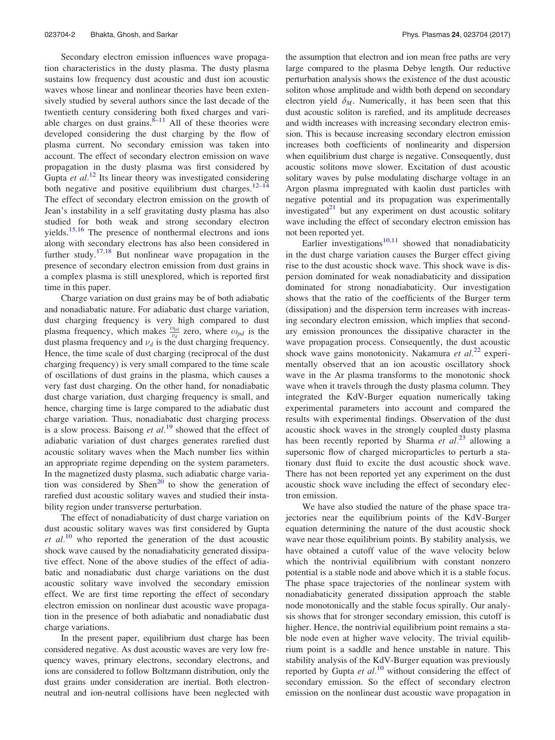Secondary electron emission influences wave propagation characteristics in the dusty plasma. The dusty plasma sustains low frequency dust acoustic and dust ion acoustic waves whose linear and nonlinear theories have been extensively studied by several authors since the last decade of the twentieth century considering both fixed charges and variable charges on dust grains. $8-11$  All of these theories were developed considering the dust charging by the flow of plasma current. No secondary emission was taken into account. The effect of secondary electron emission on wave propagation in the dusty plasma was first considered by Gupta et  $al$ .<sup>12</sup> Its linear theory was investigated considering both negative and positive equilibrium dust charges.<sup>12–14</sup> The effect of secondary electron emission on the growth of Jean's instability in a self gravitating dusty plasma has also studied for both weak and strong secondary electron yields.<sup>15,16</sup> The presence of nonthermal electrons and ions along with secondary electrons has also been considered in further study.<sup>17,18</sup> But nonlinear wave propagation in the presence of secondary electron emission from dust grains in a complex plasma is still unexplored, which is reported first time in this paper.

Charge variation on dust grains may be of both adiabatic and nonadiabatic nature. For adiabatic dust charge variation, dust charging frequency is very high compared to dust plasma frequency, which makes  $\frac{\omega_{pd}}{\nu_d}$  zero, where  $\omega_{pd}$  is the dust plasma frequency and  $\nu_d$  is the dust charging frequency. Hence, the time scale of dust charging (reciprocal of the dust charging frequency) is very small compared to the time scale of oscillations of dust grains in the plasma, which causes a very fast dust charging. On the other hand, for nonadiabatic dust charge variation, dust charging frequency is small, and hence, charging time is large compared to the adiabatic dust charge variation. Thus, nonadiabatic dust charging process is a slow process. Baisong *et al.*<sup>19</sup> showed that the effect of adiabatic variation of dust charges generates rarefied dust acoustic solitary waves when the Mach number lies within an appropriate regime depending on the system parameters. In the magnetized dusty plasma, such adiabatic charge variation was considered by Shen<sup>20</sup> to show the generation of rarefied dust acoustic solitary waves and studied their instability region under transverse perturbation.

The effect of nonadiabaticity of dust charge variation on dust acoustic solitary waves was first considered by Gupta et  $al$ <sup>10</sup> who reported the generation of the dust acoustic shock wave caused by the nonadiabaticity generated dissipative effect. None of the above studies of the effect of adiabatic and nonadiabatic dust charge variations on the dust acoustic solitary wave involved the secondary emission effect. We are first time reporting the effect of secondary electron emission on nonlinear dust acoustic wave propagation in the presence of both adiabatic and nonadiabatic dust charge variations.

In the present paper, equilibrium dust charge has been considered negative. As dust acoustic waves are very low frequency waves, primary electrons, secondary electrons, and ions are considered to follow Boltzmann distribution, only the dust grains under consideration are inertial. Both electronneutral and ion-neutral collisions have been neglected with the assumption that electron and ion mean free paths are very large compared to the plasma Debye length. Our reductive perturbation analysis shows the existence of the dust acoustic soliton whose amplitude and width both depend on secondary electron yield  $\delta_M$ . Numerically, it has been seen that this dust acoustic soliton is rarefied, and its amplitude decreases and width increases with increasing secondary electron emission. This is because increasing secondary electron emission increases both coefficients of nonlinearity and dispersion when equilibrium dust charge is negative. Consequently, dust acoustic solitons move slower. Excitation of dust acoustic solitary waves by pulse modulating discharge voltage in an Argon plasma impregnated with kaolin dust particles with negative potential and its propagation was experimentally investigated $^{21}$  but any experiment on dust acoustic solitary wave including the effect of secondary electron emission has not been reported yet.

Earlier investigations $10,11$  showed that nonadiabaticity in the dust charge variation causes the Burger effect giving rise to the dust acoustic shock wave. This shock wave is dispersion dominated for weak nonadiabaticity and dissipation dominated for strong nonadiabaticity. Our investigation shows that the ratio of the coefficients of the Burger term (dissipation) and the dispersion term increases with increasing secondary electron emission, which implies that secondary emission pronounces the dissipative character in the wave propagation process. Consequently, the dust acoustic shock wave gains monotonicity. Nakamura et  $al^{22}$  experimentally observed that an ion acoustic oscillatory shock wave in the Ar plasma transforms to the monotonic shock wave when it travels through the dusty plasma column. They integrated the KdV-Burger equation numerically taking experimental parameters into account and compared the results with experimental findings. Observation of the dust acoustic shock waves in the strongly coupled dusty plasma has been recently reported by Sharma *et al.*<sup>23</sup> allowing a supersonic flow of charged microparticles to perturb a stationary dust fluid to excite the dust acoustic shock wave. There has not been reported yet any experiment on the dust acoustic shock wave including the effect of secondary electron emission.

We have also studied the nature of the phase space trajectories near the equilibrium points of the KdV-Burger equation determining the nature of the dust acoustic shock wave near those equilibrium points. By stability analysis, we have obtained a cutoff value of the wave velocity below which the nontrivial equilibrium with constant nonzero potential is a stable node and above which it is a stable focus. The phase space trajectories of the nonlinear system with nonadiabaticity generated dissipation approach the stable node monotonically and the stable focus spirally. Our analysis shows that for stronger secondary emission, this cutoff is higher. Hence, the nontrivial equilibrium point remains a stable node even at higher wave velocity. The trivial equilibrium point is a saddle and hence unstable in nature. This stability analysis of the KdV-Burger equation was previously reported by Gupta et  $al$ <sup>10</sup> without considering the effect of secondary emission. So the effect of secondary electron emission on the nonlinear dust acoustic wave propagation in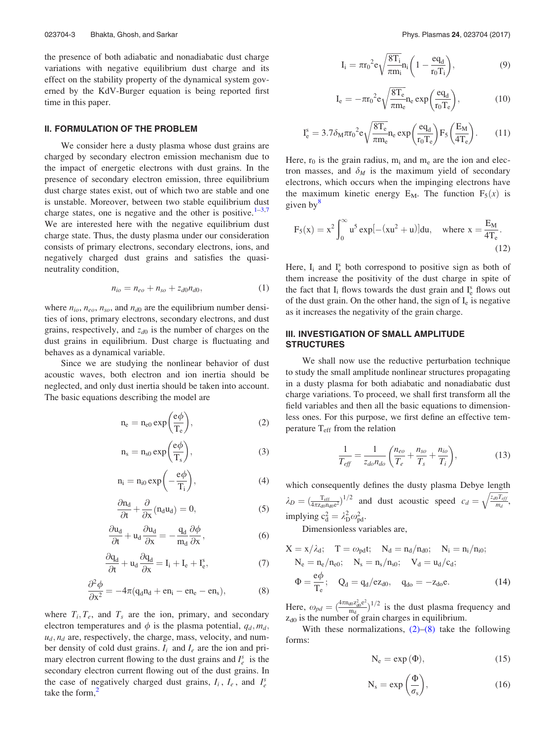the presence of both adiabatic and nonadiabatic dust charge variations with negative equilibrium dust charge and its effect on the stability property of the dynamical system governed by the KdV-Burger equation is being reported first time in this paper.

## II. FORMULATION OF THE PROBLEM

We consider here a dusty plasma whose dust grains are charged by secondary electron emission mechanism due to the impact of energetic electrons with dust grains. In the presence of secondary electron emission, three equilibrium dust charge states exist, out of which two are stable and one is unstable. Moreover, between two stable equilibrium dust charge states, one is negative and the other is positive.<sup>1-3,7</sup> We are interested here with the negative equilibrium dust charge state. Thus, the dusty plasma under our consideration consists of primary electrons, secondary electrons, ions, and negatively charged dust grains and satisfies the quasineutrality condition,

$$
n_{io} = n_{eo} + n_{so} + z_{d0}n_{d0}, \t\t(1)
$$

where  $n_{io}$ ,  $n_{eo}$ ,  $n_{so}$ , and  $n_{d0}$  are the equilibrium number densities of ions, primary electrons, secondary electrons, and dust grains, respectively, and  $z_{d0}$  is the number of charges on the dust grains in equilibrium. Dust charge is fluctuating and behaves as a dynamical variable.

Since we are studying the nonlinear behavior of dust acoustic waves, both electron and ion inertia should be neglected, and only dust inertia should be taken into account. The basic equations describing the model are

$$
n_e = n_{e0} \exp\left(\frac{e\phi}{T_e}\right),\tag{2}
$$

$$
n_s = n_{s0} \exp\left(\frac{e\phi}{T_s}\right),\tag{3}
$$

$$
n_i = n_{i0} \exp\left(-\frac{e\phi}{T_i}\right),\tag{4}
$$

$$
\frac{\partial n_d}{\partial t} + \frac{\partial}{\partial x} (n_d u_d) = 0, \qquad (5)
$$

$$
\frac{\partial u_d}{\partial t} + u_d \frac{\partial u_d}{\partial x} = -\frac{q_d}{m_d} \frac{\partial \phi}{\partial x},\tag{6}
$$

$$
\frac{\partial q_d}{\partial t} + u_d \frac{\partial q_d}{\partial x} = I_i + I_e + I_e^s,
$$
\n(7)

$$
\frac{\partial^2 \phi}{\partial x^2} = -4\pi (q_d n_d + en_i - en_e - en_s),\tag{8}
$$

where  $T_i, T_e$ , and  $T_s$  are the ion, primary, and secondary electron temperatures and  $\phi$  is the plasma potential,  $q_d, m_d$ ,  $u_d$ ,  $n_d$  are, respectively, the charge, mass, velocity, and number density of cold dust grains.  $I_i$  and  $I_e$  are the ion and primary electron current flowing to the dust grains and  $I_e^s$  is the secondary electron current flowing out of the dust grains. In the case of negatively charged dust grains,  $I_i$ ,  $I_e$ , and  $I_e^s$ take the form. $<sup>2</sup>$ </sup>

$$
I_i = \pi r_0^2 e \sqrt{\frac{8T_i}{\pi m_i}} n_i \left( 1 - \frac{e q_d}{r_0 T_i} \right),\tag{9}
$$

$$
I_e = -\pi r_0^2 e \sqrt{\frac{8T_e}{\pi m_e}} n_e \exp\left(\frac{eq_d}{r_0 T_e}\right),\tag{10}
$$

$$
I_e^s = 3.7 \delta_M \pi r_0^2 e \sqrt{\frac{8T_e}{\pi m_e}} n_e \exp\left(\frac{e q_d}{r_0 T_e}\right) F_5 \left(\frac{E_M}{4T_e}\right). \tag{11}
$$

Here,  $r_0$  is the grain radius,  $m_i$  and  $m_e$  are the ion and electron masses, and  $\delta_M$  is the maximum yield of secondary electrons, which occurs when the impinging electrons have the maximum kinetic energy  $E_M$ . The function  $F_5(x)$  is given by $\frac{8}{3}$ 

$$
F_5(x) = x^2 \int_0^\infty u^5 \exp[-(xu^2 + u)] du, \text{ where } x = \frac{E_M}{4T_e}.
$$
\n(12)

Here,  $I_i$  and  $I_e^s$  both correspond to positive sign as both of them increase the positivity of the dust charge in spite of the fact that  $I_i$  flows towards the dust grain and  $I_e^s$  flows out of the dust grain. On the other hand, the sign of  $I_e$  is negative as it increases the negativity of the grain charge.

# III. INVESTIGATION OF SMALL AMPLITUDE **STRUCTURES**

We shall now use the reductive perturbation technique to study the small amplitude nonlinear structures propagating in a dusty plasma for both adiabatic and nonadiabatic dust charge variations. To proceed, we shall first transform all the field variables and then all the basic equations to dimensionless ones. For this purpose, we first define an effective temperature  $T_{\text{eff}}$  from the relation

$$
\frac{1}{T_{\text{eff}}} = \frac{1}{z_{do} n_{do}} \left( \frac{n_{eo}}{T_e} + \frac{n_{so}}{T_s} + \frac{n_{io}}{T_i} \right),\tag{13}
$$

which consequently defines the dusty plasma Debye length  $\lambda_D = (\frac{T_{\text{eff}}}{4\pi z_{\text{d0}} n_{\text{d0}}e^2})^{1/2}$  and dust acoustic speed  $c_d = \sqrt{\frac{z_{d0} T_{\text{eff}}}{m_d}}$  $\sqrt{\frac{z_{d0}T_{eff}}{m_d}},$ implying  $c_d^2 = \lambda_D^2 \omega_{pd}^2$ .

Dimensionless variables are,

$$
X = x/\lambda_d; \quad T = \omega_{pd}t; \quad N_d = n_d/n_{d0}; \quad N_i = n_i/n_{i0};
$$
  
\n
$$
N_e = n_e/n_{e0}; \quad N_s = n_s/n_{s0}; \quad V_d = u_d/c_d;
$$
  
\n
$$
\Phi = \frac{e\phi}{T_e}; \quad Q_d = q_d/ez_{d0}, \quad q_{do} = -z_{do}e.
$$
 (14)

Here,  $\omega_{pd} = \left(\frac{4\pi n_{d0} z_{d0}^2 e^2}{m_d}\right)$  $\frac{d\sigma Z_{d0}^2 e^2}{m_d}$ <sup>1/2</sup> is the dust plasma frequency and  $z_{d0}$  is the number of grain charges in equilibrium.

With these normalizations,  $(2)$ – $(8)$  take the following forms:

$$
N_e = \exp{(\Phi)}, \qquad (15)
$$

$$
N_s = \exp\left(\frac{\Phi}{\sigma_s}\right),\tag{16}
$$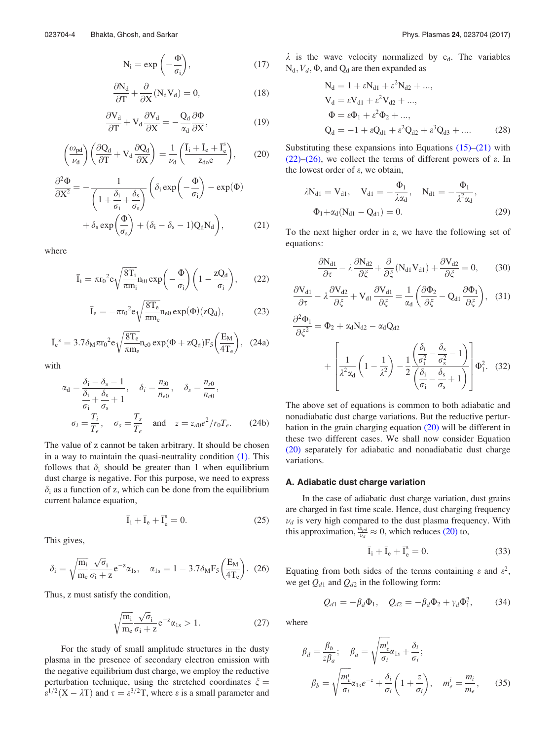$$
N_i = \exp\left(-\frac{\Phi}{\sigma_i}\right),\tag{17}
$$

$$
\frac{\partial N_d}{\partial T} + \frac{\partial}{\partial X} (N_d V_d) = 0, \qquad (18)
$$

$$
\frac{\partial V_d}{\partial T} + V_d \frac{\partial V_d}{\partial X} = -\frac{Q_d}{\alpha_d} \frac{\partial \Phi}{\partial X},\tag{19}
$$

$$
\left(\frac{\omega_{\text{pd}}}{\nu_d}\right) \left(\frac{\partial Q_d}{\partial T} + V_d \frac{\partial Q_d}{\partial X}\right) = \frac{1}{\nu_d} \left(\frac{\bar{I}_i + \bar{I}_e + \bar{I}_e^s}{z_{d0}e}\right),\tag{20}
$$

$$
\frac{\partial^2 \Phi}{\partial X^2} = -\frac{1}{\left(1 + \frac{\delta_i}{\sigma_i} + \frac{\delta_s}{\sigma_s}\right)} \left(\delta_i \exp\left(-\frac{\Phi}{\sigma_i}\right) - \exp(\Phi) + \delta_s \exp\left(\frac{\Phi}{\sigma_s}\right) + (\delta_i - \delta_s - 1)Q_d N_d\right),\tag{21}
$$

where

$$
\bar{I}_i = \pi r_0^2 e \sqrt{\frac{8T_i}{\pi m_i}} n_{i0} \exp\left(-\frac{\Phi}{\sigma_i}\right) \left(1 - \frac{zQ_d}{\sigma_i}\right),\qquad(22)
$$

$$
\overline{I}_{e} = -\pi r_0^2 e \sqrt{\frac{8T_e}{\pi m_e}} n_{e0} \exp(\Phi)(zQ_d), \qquad (23)
$$

$$
\bar{I}_e{}^s = 3.7 \delta_M \pi r_0{}^2 e \sqrt{\frac{8T_e}{\pi m_e}} n_{e0} \exp(\Phi + zQ_d) F_5 \left(\frac{E_M}{4T_e}\right),~~(24a)
$$

with

$$
\alpha_{\rm d} = \frac{\delta_{\rm i} - \delta_{\rm s} - 1}{\frac{\delta_{\rm i}}{\sigma_{\rm i}} + \frac{\delta_{\rm s}}{\sigma_{\rm s}} + 1}, \quad \delta_{\rm i} = \frac{n_{\rm i0}}{n_{\rm e0}}, \quad \delta_{\rm s} = \frac{n_{\rm s0}}{n_{\rm e0}},
$$

$$
\sigma_{\rm i} = \frac{T_{\rm i}}{T_{\rm e}}, \quad \sigma_{\rm s} = \frac{T_{\rm s}}{T_{\rm e}} \quad \text{and} \quad z = z_{\rm d0}e^2/r_0T_{\rm e}.
$$
(24b)

The value of z cannot be taken arbitrary. It should be chosen in a way to maintain the quasi-neutrality condition  $(1)$ . This follows that  $\delta_i$  should be greater than 1 when equilibrium dust charge is negative. For this purpose, we need to express  $\delta_i$  as a function of z, which can be done from the equilibrium current balance equation,

$$
\overline{I}_i + \overline{I}_e + \overline{I}_e^s = 0. \tag{25}
$$

This gives,

$$
\delta_{\rm i} = \sqrt{\frac{m_{\rm i}}{m_{\rm e}}\frac{\sqrt{\sigma_{\rm i}}}{\sigma_{\rm i} + z}}e^{-z}\alpha_{\rm 1s}, \quad \alpha_{\rm 1s} = 1 - 3.7\delta_{\rm M}F_5\bigg(\frac{E_{\rm M}}{4T_{\rm e}}\bigg). \tag{26}
$$

Thus, z must satisfy the condition,

$$
\sqrt{\frac{m_i}{m_e}} \frac{\sqrt{\sigma_i}}{\sigma_i + z} e^{-z} \alpha_{1s} > 1.
$$
 (27)

For the study of small amplitude structures in the dusty plasma in the presence of secondary electron emission with the negative equilibrium dust charge, we employ the reductive perturbation technique, using the stretched coordinates  $\xi$  =  $\varepsilon^{1/2}$ (X –  $\lambda$ T) and  $\tau = \varepsilon^{3/2}$ T, where  $\varepsilon$  is a small parameter and

 $\lambda$  is the wave velocity normalized by c<sub>d</sub>. The variables  $N_d$ ,  $V_d$ ,  $\Phi$ , and  $Q_d$  are then expanded as

$$
N_{d} = 1 + \varepsilon N_{d1} + \varepsilon^{2} N_{d2} + ...,
$$
  
\n
$$
V_{d} = \varepsilon V_{d1} + \varepsilon^{2} V_{d2} + ...,
$$
  
\n
$$
\Phi = \varepsilon \Phi_{1} + \varepsilon^{2} \Phi_{2} + ...,
$$
  
\n
$$
Q_{d} = -1 + \varepsilon Q_{d1} + \varepsilon^{2} Q_{d2} + \varepsilon^{3} Q_{d3} + ....
$$
 (28)

Substituting these expansions into Equations  $(15)$ – $(21)$  with (22)–(26), we collect the terms of different powers of  $\varepsilon$ . In the lowest order of  $\varepsilon$ , we obtain,

$$
\lambda N_{d1} = V_{d1}, \quad V_{d1} = -\frac{\Phi_1}{\lambda \alpha_d}, \quad N_{d1} = -\frac{\Phi_1}{\lambda^2 \alpha_d},
$$

$$
\Phi_1 + \alpha_d (N_{d1} - Q_{d1}) = 0.
$$
 (29)

To the next higher order in  $\varepsilon$ , we have the following set of equations:

$$
\frac{\partial N_{d1}}{\partial \tau} - \lambda \frac{\partial N_{d2}}{\partial \xi} + \frac{\partial}{\partial \xi} (N_{d1} V_{d1}) + \frac{\partial V_{d2}}{\partial \xi} = 0, \quad (30)
$$

$$
\frac{\partial V_{d1}}{\partial \tau} - \lambda \frac{\partial V_{d2}}{\partial \xi} + V_{d1} \frac{\partial V_{d1}}{\partial \xi} = \frac{1}{\alpha_d} \left( \frac{\partial \Phi_2}{\partial \xi} - Q_{d1} \frac{\partial \Phi_1}{\partial \xi} \right), \quad (31)
$$

$$
\frac{\partial^2 \Phi_1}{\partial \xi^2} = \Phi_2 + \alpha_d N_{d2} - \alpha_d Q_{d2}
$$

$$
+ \left[ \frac{1}{\lambda^2 \alpha_d} \left( 1 - \frac{1}{\lambda^2} \right) - \frac{1}{2} \frac{\left( \frac{\delta_i}{\sigma_i^2} - \frac{\delta_s}{\sigma_s^2} - 1 \right)}{\left( \frac{\delta_i}{\sigma_i} - \frac{\delta_s}{\sigma_s} + 1 \right)} \right] \Phi_1^2. (32)
$$

The above set of equations is common to both adiabatic and nonadiabatic dust charge variations. But the reductive perturbation in the grain charging equation (20) will be different in these two different cases. We shall now consider Equation (20) separately for adiabatic and nonadiabatic dust charge variations.

#### A. Adiabatic dust charge variation

In the case of adiabatic dust charge variation, dust grains are charged in fast time scale. Hence, dust charging frequency  $\nu_d$  is very high compared to the dust plasma frequency. With this approximation,  $\frac{\hat{\omega}_{pd}}{\nu_d} \approx 0$ , which reduces (20) to,

$$
\bar{I}_i + \bar{I}_e + \bar{I}_e^s = 0.
$$
 (33)

Equating from both sides of the terms containing  $\varepsilon$  and  $\varepsilon^2$ , we get  $Q_{d1}$  and  $Q_{d2}$  in the following form:

$$
Q_{d1} = -\beta_d \Phi_1, \quad Q_{d2} = -\beta_d \Phi_2 + \gamma_d \Phi_1^2, \tag{34}
$$

where

$$
\beta_d = \frac{\beta_b}{z\beta_a}; \quad \beta_a = \sqrt{\frac{m_e^i}{\sigma_i}} \alpha_{1s} + \frac{\delta_i}{\sigma_i};
$$
\n
$$
\beta_b = \sqrt{\frac{m_e^i}{\sigma_i}} \alpha_{1s} e^{-z} + \frac{\delta_i}{\sigma_i} \left( 1 + \frac{z}{\sigma_i} \right), \quad m_e^i = \frac{m_i}{m_e}, \quad (35)
$$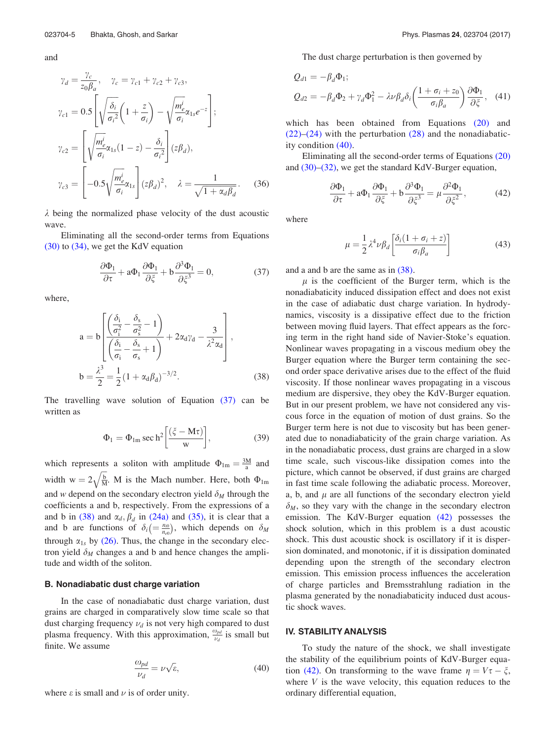and

$$
\gamma_d = \frac{\gamma_c}{z_0 \beta_a}, \quad \gamma_c = \gamma_{c1} + \gamma_{c2} + \gamma_{c3},
$$
  
\n
$$
\gamma_{c1} = 0.5 \left[ \sqrt{\frac{\delta_i}{\sigma_i^2}} \left( 1 + \frac{z}{\sigma_i} \right) - \sqrt{\frac{m_e^i}{\sigma_i}} \alpha_{1s} e^{-z} \right];
$$
  
\n
$$
\gamma_{c2} = \left[ \sqrt{\frac{m_e^i}{\sigma_i}} \alpha_{1s} (1 - z) - \frac{\delta_i}{\sigma_i^2} \right] (z\beta_d),
$$
  
\n
$$
\gamma_{c3} = \left[ -0.5 \sqrt{\frac{m_e^i}{\sigma_i}} \alpha_{1s} \right] (z\beta_d)^2, \quad \lambda = \frac{1}{\sqrt{1 + \alpha_d \beta_d}}.
$$
 (36)

 $\lambda$  being the normalized phase velocity of the dust acoustic wave.

Eliminating all the second-order terms from Equations (30) to (34), we get the KdV equation

$$
\frac{\partial \Phi_1}{\partial \tau} + a \Phi_1 \frac{\partial \Phi_1}{\partial \xi} + b \frac{\partial^3 \Phi_1}{\partial \xi^3} = 0, \tag{37}
$$

where,

$$
a = b \left[ \frac{\left(\frac{\delta_i}{\sigma_i^2} - \frac{\delta_s}{\sigma_s^2} - 1\right)}{\left(\frac{\delta_i}{\sigma_i} - \frac{\delta_s}{\sigma_s} + 1\right)} + 2\alpha_d \gamma_d - \frac{3}{\lambda^2 \alpha_d} \right],
$$
  

$$
b = \frac{\lambda^3}{2} = \frac{1}{2} (1 + \alpha_d \beta_d)^{-3/2}.
$$
 (38)

The travelling wave solution of Equation (37) can be written as

$$
\Phi_1 = \Phi_{1m} \sec \mathrm{h}^2 \left[ \frac{(\xi - \mathrm{M}\tau)}{\mathrm{w}} \right],\tag{39}
$$

which represents a soliton with amplitude  $\Phi_{lm} = \frac{3M}{a}$  and width  $w = 2\sqrt{\frac{b}{M}}$ . M is the Mach number. Here, both  $\Phi_{lm}$ and w depend on the secondary electron yield  $\delta_M$  through the coefficients a and b, respectively. From the expressions of a and b in (38) and  $\alpha_d$ ,  $\beta_d$  in (24a) and (35), it is clear that a and b are functions of  $\delta_i \left( = \frac{n_{i0}}{n_{e0}} \right)$ , which depends on  $\delta_M$ through  $\alpha_{1s}$  by (26). Thus, the change in the secondary electron yield  $\delta_M$  changes a and b and hence changes the amplitude and width of the soliton.

## B. Nonadiabatic dust charge variation

In the case of nonadiabatic dust charge variation, dust grains are charged in comparatively slow time scale so that dust charging frequency  $\nu_d$  is not very high compared to dust plasma frequency. With this approximation,  $\frac{\omega_{pd}}{\nu_d}$  is small but finite. We assume

$$
\frac{\omega_{pd}}{\nu_d} = \nu \sqrt{\varepsilon},\tag{40}
$$

where  $\varepsilon$  is small and  $\nu$  is of order unity.

The dust charge perturbation is then governed by

$$
Q_{d1} = -\beta_d \Phi_1;
$$
  
\n
$$
Q_{d2} = -\beta_d \Phi_2 + \gamma_d \Phi_1^2 - \lambda \nu \beta_d \delta_i \left(\frac{1 + \sigma_i + z_0}{\sigma_i \beta_a}\right) \frac{\partial \Phi_1}{\partial \xi}, \quad (41)
$$

which has been obtained from Equations (20) and  $(22)$ – $(24)$  with the perturbation  $(28)$  and the nonadiabaticity condition (40).

Eliminating all the second-order terms of Equations (20) and (30)–(32), we get the standard KdV-Burger equation,

$$
\frac{\partial \Phi_1}{\partial \tau} + a\Phi_1 \frac{\partial \Phi_1}{\partial \xi} + b \frac{\partial^3 \Phi_1}{\partial \xi^3} = \mu \frac{\partial^2 \Phi_1}{\partial \xi^2},\tag{42}
$$

where

$$
\mu = \frac{1}{2} \lambda^4 \nu \beta_d \left[ \frac{\delta_i (1 + \sigma_i + z)}{\sigma_i \beta_a} \right]
$$
(43)

and a and b are the same as in (38).

 $\mu$  is the coefficient of the Burger term, which is the nonadiabaticity induced dissipation effect and does not exist in the case of adiabatic dust charge variation. In hydrodynamics, viscosity is a dissipative effect due to the friction between moving fluid layers. That effect appears as the forcing term in the right hand side of Navier-Stoke's equation. Nonlinear waves propagating in a viscous medium obey the Burger equation where the Burger term containing the second order space derivative arises due to the effect of the fluid viscosity. If those nonlinear waves propagating in a viscous medium are dispersive, they obey the KdV-Burger equation. But in our present problem, we have not considered any viscous force in the equation of motion of dust grains. So the Burger term here is not due to viscosity but has been generated due to nonadiabaticity of the grain charge variation. As in the nonadiabatic process, dust grains are charged in a slow time scale, such viscous-like dissipation comes into the picture, which cannot be observed, if dust grains are charged in fast time scale following the adiabatic process. Moreover, a, b, and  $\mu$  are all functions of the secondary electron yield  $\delta_M$ , so they vary with the change in the secondary electron emission. The KdV-Burger equation (42) possesses the shock solution, which in this problem is a dust acoustic shock. This dust acoustic shock is oscillatory if it is dispersion dominated, and monotonic, if it is dissipation dominated depending upon the strength of the secondary electron emission. This emission process influences the acceleration of charge particles and Bremsstrahlung radiation in the plasma generated by the nonadiabaticity induced dust acoustic shock waves.

## IV. STABILITY ANALYSIS

To study the nature of the shock, we shall investigate the stability of the equilibrium points of KdV-Burger equation (42). On transforming to the wave frame  $\eta = V\tau - \xi$ , where  $V$  is the wave velocity, this equation reduces to the ordinary differential equation,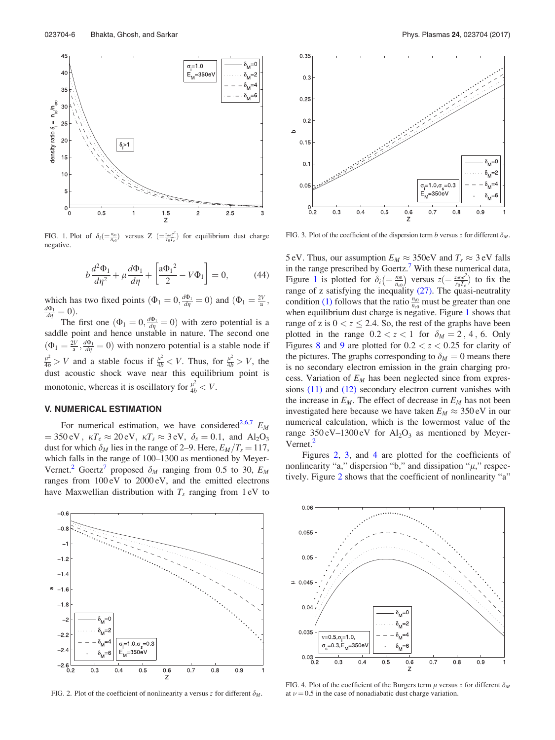

FIG. 1. Plot of  $\delta_i\left(\frac{n_{i0}}{n_{e0}}\right)$  versus Z  $\left(\frac{n_{i0}e^2}{n_{i0}T_e}\right)$  for equilibrium dust charge negative.

$$
b\frac{d^2\Phi_1}{d\eta^2} + \mu\frac{d\Phi_1}{d\eta} + \left[\frac{a\Phi_1^2}{2} - V\Phi_1\right] = 0,
$$
 (44)

which has two fixed points  $(\Phi_1 = 0, \frac{d\Phi_1}{d\eta} = 0)$  and  $(\Phi_1 = \frac{2V}{a}, \frac{2V}{b^2})$  $\frac{d\Phi_1}{d\eta}=0.$ 

The first one  $(\Phi_1 = 0, \frac{d\Phi_1}{d\eta} = 0)$  with zero potential is a saddle point and hence unstable in nature. The second one  $(\Phi_1 = \frac{2V}{a}, \frac{d\Phi_1}{d\eta} = 0)$  with nonzero potential is a stable node if  $\frac{\mu^2}{4b} > V$  and a stable focus if  $\frac{\mu^2}{4b} < V$ . Thus, for  $\frac{\mu^2}{4b} > V$ , the dust acoustic shock wave near this equilibrium point is monotonic, whereas it is oscillatory for  $\frac{\mu^2}{4b} < V$ .

## V. NUMERICAL ESTIMATION

For numerical estimation, we have considered<sup>2,6,7</sup>  $E_M$  $= 350 \text{ eV}$ ,  $\kappa T_e \approx 20 \text{ eV}$ ,  $\kappa T_s \approx 3 \text{ eV}$ ,  $\delta_s = 0.1$ , and Al<sub>2</sub>O<sub>3</sub> dust for which  $\delta_M$  lies in the range of 2–9. Here,  $E_M/T_s = 117$ , which falls in the range of 100–1300 as mentioned by Meyer-Vernet.<sup>2</sup> Goertz<sup>7</sup> proposed  $\delta_M$  ranging from 0.5 to 30,  $E_M$ ranges from 100 eV to 2000 eV, and the emitted electrons have Maxwellian distribution with  $T_s$  ranging from 1 eV to



FIG. 2. Plot of the coefficient of nonlinearity a versus z for different  $\delta_M$ .



FIG. 3. Plot of the coefficient of the dispersion term b versus z for different  $\delta_M$ .

5 eV. Thus, our assumption  $E_M \approx 350$  eV and  $T_s \approx 3$  eV falls in the range prescribed by Goertz.<sup>7</sup> With these numerical data, Figure 1 is plotted for  $\delta_i \left( = \frac{n_{i0}}{n_{e0}} \right)$  versus  $z \left( = \frac{z_{d0}e^2}{n_0T_e} \right)$  $\frac{z_{d0}e^2}{r_0T_e}$  to fix the range of z satisfying the inequality (27). The quasi-neutrality condition (1) follows that the ratio  $\frac{n_{i0}}{n_{e0}}$  must be greater than one when equilibrium dust charge is negative. Figure 1 shows that range of z is  $0 < z \le 2.4$ . So, the rest of the graphs have been plotted in the range  $0.2 < z < 1$  for  $\delta_M = 2, 4, 6$ . Only Figures 8 and 9 are plotted for  $0.2 < z < 0.25$  for clarity of the pictures. The graphs corresponding to  $\delta_M = 0$  means there is no secondary electron emission in the grain charging process. Variation of  $E_M$  has been neglected since from expressions (11) and (12) secondary electron current vanishes with the increase in  $E_M$ . The effect of decrease in  $E_M$  has not been investigated here because we have taken  $E_M \approx 350 \text{ eV}$  in our numerical calculation, which is the lowermost value of the range  $350 \text{ eV} - 1300 \text{ eV}$  for  $\text{Al}_2\text{O}_3$  as mentioned by Meyer-Vernet.<sup>2</sup>

Figures 2, 3, and 4 are plotted for the coefficients of nonlinearity "a," dispersion "b," and dissipation " $\mu$ ," respectively. Figure 2 shows that the coefficient of nonlinearity "a"



FIG. 4. Plot of the coefficient of the Burgers term  $\mu$  versus z for different  $\delta_M$ at  $\nu = 0.5$  in the case of nonadiabatic dust charge variation.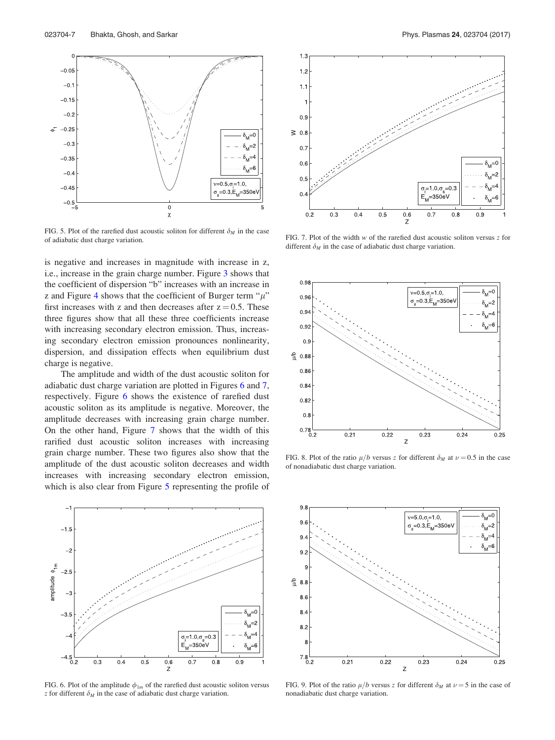

FIG. 5. Plot of the rarefied dust acoustic soliton for different  $\delta_M$  in the case of adiabatic dust charge variation.

is negative and increases in magnitude with increase in z, i.e., increase in the grain charge number. Figure 3 shows that the coefficient of dispersion "b" increases with an increase in z and Figure 4 shows that the coefficient of Burger term " $\mu$ " first increases with z and then decreases after  $z = 0.5$ . These three figures show that all these three coefficients increase with increasing secondary electron emission. Thus, increasing secondary electron emission pronounces nonlinearity, dispersion, and dissipation effects when equilibrium dust charge is negative.

The amplitude and width of the dust acoustic soliton for adiabatic dust charge variation are plotted in Figures 6 and 7, respectively. Figure 6 shows the existence of rarefied dust acoustic soliton as its amplitude is negative. Moreover, the amplitude decreases with increasing grain charge number. On the other hand, Figure 7 shows that the width of this rarified dust acoustic soliton increases with increasing grain charge number. These two figures also show that the amplitude of the dust acoustic soliton decreases and width increases with increasing secondary electron emission, which is also clear from Figure 5 representing the profile of



FIG. 6. Plot of the amplitude  $\phi_{1m}$  of the rarefied dust acoustic soliton versus z for different  $\delta_M$  in the case of adiabatic dust charge variation.



FIG. 7. Plot of the width  $w$  of the rarefied dust acoustic soliton versus  $z$  for different  $\delta_M$  in the case of adiabatic dust charge variation.



FIG. 8. Plot of the ratio  $\mu/b$  versus z for different  $\delta_M$  at  $\nu = 0.5$  in the case of nonadiabatic dust charge variation.



FIG. 9. Plot of the ratio  $\mu/b$  versus z for different  $\delta_M$  at  $\nu = 5$  in the case of nonadiabatic dust charge variation.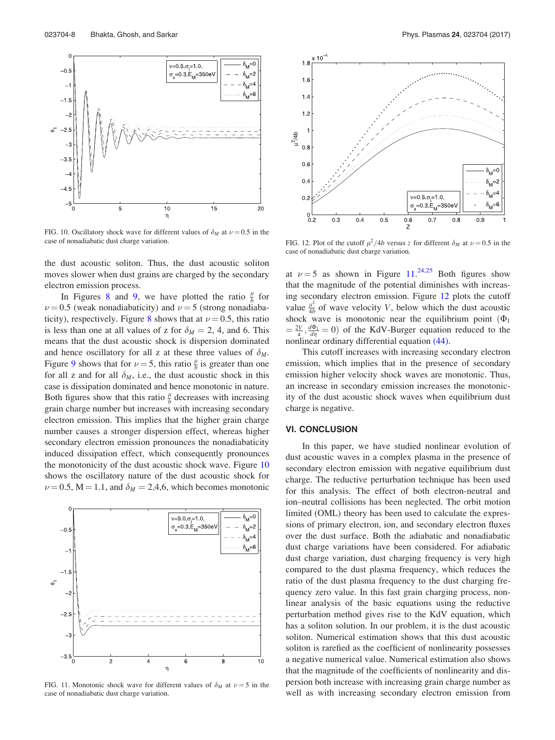

FIG. 10. Oscillatory shock wave for different values of  $\delta_M$  at  $\nu = 0.5$  in the case of nonadiabatic dust charge variation.

the dust acoustic soliton. Thus, the dust acoustic soliton moves slower when dust grains are charged by the secondary electron emission process.

In Figures 8 and 9, we have plotted the ratio  $\frac{\mu}{b}$  for  $\nu = 0.5$  (weak nonadiabaticity) and  $\nu = 5$  (strong nonadiabaticity), respectively. Figure 8 shows that at  $\nu = 0.5$ , this ratio is less than one at all values of z for  $\delta_M = 2$ , 4, and 6. This means that the dust acoustic shock is dispersion dominated and hence oscillatory for all z at these three values of  $\delta_M$ . Figure 9 shows that for  $\nu = 5$ , this ratio  $\frac{\mu}{b}$  is greater than one for all z and for all  $\delta_M$ , i.e., the dust acoustic shock in this case is dissipation dominated and hence monotonic in nature. Both figures show that this ratio  $\frac{\mu}{b}$  decreases with increasing grain charge number but increases with increasing secondary electron emission. This implies that the higher grain charge number causes a stronger dispersion effect, whereas higher secondary electron emission pronounces the nonadiabaticity induced dissipation effect, which consequently pronounces the monotonicity of the dust acoustic shock wave. Figure 10 shows the oscillatory nature of the dust acoustic shock for  $\nu = 0.5$ , M = 1.1, and  $\delta_M = 2,4,6$ , which becomes monotonic



FIG. 11. Monotonic shock wave for different values of  $\delta_M$  at  $\nu = 5$  in the case of nonadiabatic dust charge variation.



FIG. 12. Plot of the cutoff  $\mu^2/4b$  versus z for different  $\delta_M$  at  $\nu = 0.5$  in the case of nonadiabatic dust charge variation.

at  $\nu = 5$  as shown in Figure 11.<sup>24,25</sup> Both figures show that the magnitude of the potential diminishes with increasing secondary electron emission. Figure 12 plots the cutoff value  $\frac{\mu^2}{4h}$  $\frac{\mu}{4b}$  of wave velocity V, below which the dust acoustic shock wave is monotonic near the equilibrium point  $(\Phi_1)$  $=\frac{2V}{a}$ ,  $\frac{d\Phi_1}{d\eta}=0$  of the KdV-Burger equation reduced to the nonlinear ordinary differential equation (44).

This cutoff increases with increasing secondary electron emission, which implies that in the presence of secondary emission higher velocity shock waves are monotonic. Thus, an increase in secondary emission increases the monotonicity of the dust acoustic shock waves when equilibrium dust charge is negative.

### VI. CONCLUSION

In this paper, we have studied nonlinear evolution of dust acoustic waves in a complex plasma in the presence of secondary electron emission with negative equilibrium dust charge. The reductive perturbation technique has been used for this analysis. The effect of both electron-neutral and ion–neutral collisions has been neglected. The orbit motion limited (OML) theory has been used to calculate the expressions of primary electron, ion, and secondary electron fluxes over the dust surface. Both the adiabatic and nonadiabatic dust charge variations have been considered. For adiabatic dust charge variation, dust charging frequency is very high compared to the dust plasma frequency, which reduces the ratio of the dust plasma frequency to the dust charging frequency zero value. In this fast grain charging process, nonlinear analysis of the basic equations using the reductive perturbation method gives rise to the KdV equation, which has a soliton solution. In our problem, it is the dust acoustic soliton. Numerical estimation shows that this dust acoustic soliton is rarefied as the coefficient of nonlinearity possesses a negative numerical value. Numerical estimation also shows that the magnitude of the coefficients of nonlinearity and dispersion both increase with increasing grain charge number as well as with increasing secondary electron emission from